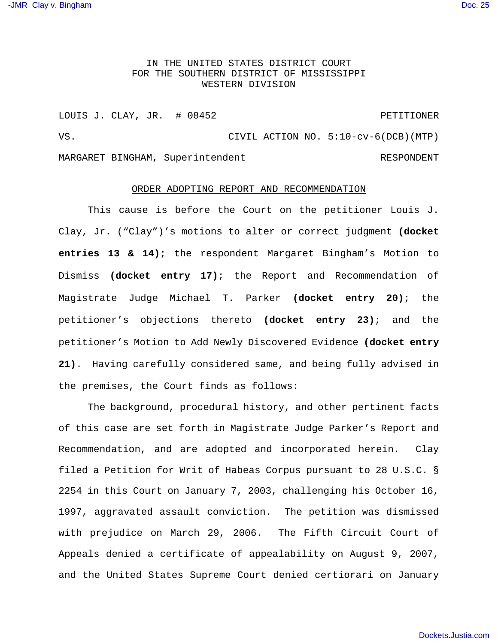## IN THE UNITED STATES DISTRICT COURT FOR THE SOUTHERN DISTRICT OF MISSISSIPPI WESTERN DIVISION

LOUIS J. CLAY, JR. # 08452 PETITIONER VS. CIVIL ACTION NO. 5:10-cv-6(DCB)(MTP) MARGARET BINGHAM, Superintendent RESPONDENT

## ORDER ADOPTING REPORT AND RECOMMENDATION

This cause is before the Court on the petitioner Louis J. Clay, Jr. ("Clay")'s motions to alter or correct judgment **(docket entries 13 & 14)**; the respondent Margaret Bingham's Motion to Dismiss **(docket entry 17)**; the Report and Recommendation of Magistrate Judge Michael T. Parker **(docket entry 20)**; the petitioner's objections thereto **(docket entry 23)**; and the petitioner's Motion to Add Newly Discovered Evidence **(docket entry 21)**. Having carefully considered same, and being fully advised in the premises, the Court finds as follows:

The background, procedural history, and other pertinent facts of this case are set forth in Magistrate Judge Parker's Report and Recommendation, and are adopted and incorporated herein. Clay filed a Petition for Writ of Habeas Corpus pursuant to 28 U.S.C. § 2254 in this Court on January 7, 2003, challenging his October 16, 1997, aggravated assault conviction. The petition was dismissed with prejudice on March 29, 2006. The Fifth Circuit Court of Appeals denied a certificate of appealability on August 9, 2007, and the United States Supreme Court denied certiorari on January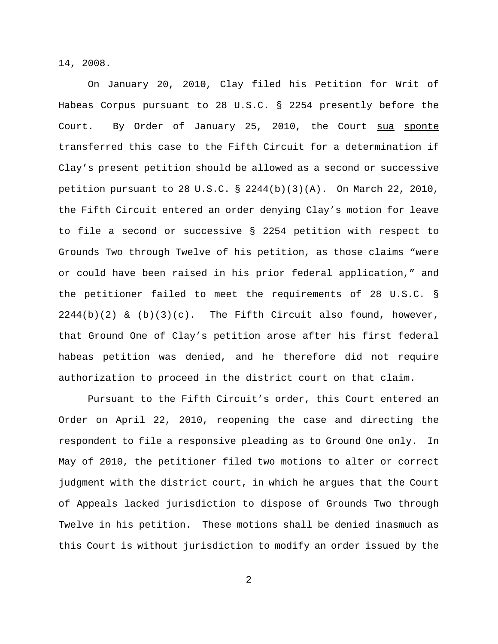14, 2008.

On January 20, 2010, Clay filed his Petition for Writ of Habeas Corpus pursuant to 28 U.S.C. § 2254 presently before the Court. By Order of January 25, 2010, the Court sua sponte transferred this case to the Fifth Circuit for a determination if Clay's present petition should be allowed as a second or successive petition pursuant to 28 U.S.C. § 2244(b)(3)(A). On March 22, 2010, the Fifth Circuit entered an order denying Clay's motion for leave to file a second or successive § 2254 petition with respect to Grounds Two through Twelve of his petition, as those claims "were or could have been raised in his prior federal application," and the petitioner failed to meet the requirements of 28 U.S.C. §  $2244(b)(2)$  &  $(b)(3)(c)$ . The Fifth Circuit also found, however, that Ground One of Clay's petition arose after his first federal habeas petition was denied, and he therefore did not require authorization to proceed in the district court on that claim.

Pursuant to the Fifth Circuit's order, this Court entered an Order on April 22, 2010, reopening the case and directing the respondent to file a responsive pleading as to Ground One only. In May of 2010, the petitioner filed two motions to alter or correct judgment with the district court, in which he argues that the Court of Appeals lacked jurisdiction to dispose of Grounds Two through Twelve in his petition. These motions shall be denied inasmuch as this Court is without jurisdiction to modify an order issued by the

2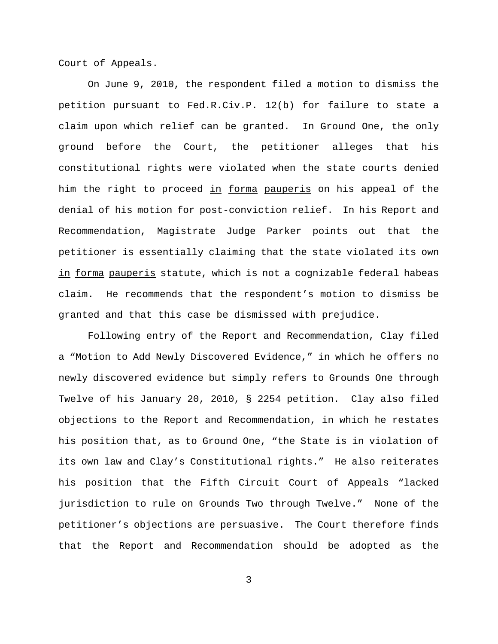Court of Appeals.

On June 9, 2010, the respondent filed a motion to dismiss the petition pursuant to Fed.R.Civ.P. 12(b) for failure to state a claim upon which relief can be granted. In Ground One, the only ground before the Court, the petitioner alleges that his constitutional rights were violated when the state courts denied him the right to proceed in forma pauperis on his appeal of the denial of his motion for post-conviction relief. In his Report and Recommendation, Magistrate Judge Parker points out that the petitioner is essentially claiming that the state violated its own in forma pauperis statute, which is not a cognizable federal habeas claim. He recommends that the respondent's motion to dismiss be granted and that this case be dismissed with prejudice.

Following entry of the Report and Recommendation, Clay filed a "Motion to Add Newly Discovered Evidence," in which he offers no newly discovered evidence but simply refers to Grounds One through Twelve of his January 20, 2010, § 2254 petition. Clay also filed objections to the Report and Recommendation, in which he restates his position that, as to Ground One, "the State is in violation of its own law and Clay's Constitutional rights." He also reiterates his position that the Fifth Circuit Court of Appeals "lacked jurisdiction to rule on Grounds Two through Twelve." None of the petitioner's objections are persuasive. The Court therefore finds that the Report and Recommendation should be adopted as the

3